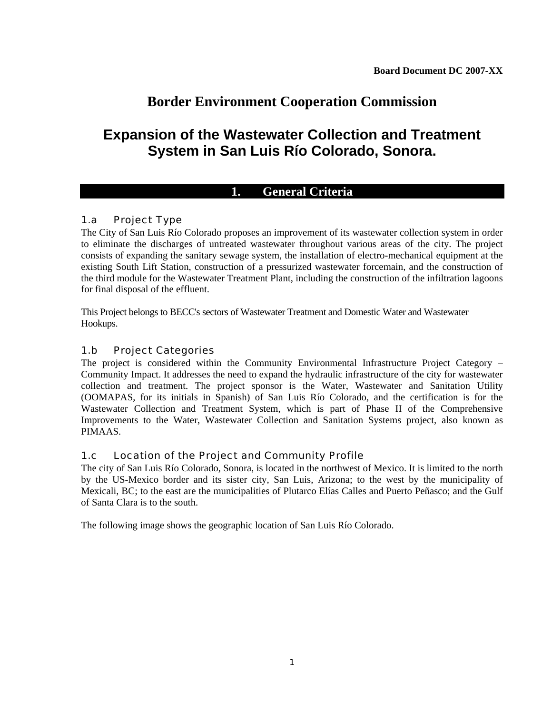# **Border Environment Cooperation Commission**

# **Expansion of the Wastewater Collection and Treatment System in San Luis Río Colorado, Sonora.**

## **1. General Criteria**

## 1.a Project Type

The City of San Luis Río Colorado proposes an improvement of its wastewater collection system in order to eliminate the discharges of untreated wastewater throughout various areas of the city. The project consists of expanding the sanitary sewage system, the installation of electro-mechanical equipment at the existing South Lift Station, construction of a pressurized wastewater forcemain, and the construction of the third module for the Wastewater Treatment Plant, including the construction of the infiltration lagoons for final disposal of the effluent.

This Project belongs to BECC's sectors of Wastewater Treatment and Domestic Water and Wastewater Hookups.

## 1.b Project Categories

The project is considered within the Community Environmental Infrastructure Project Category – Community Impact. It addresses the need to expand the hydraulic infrastructure of the city for wastewater collection and treatment. The project sponsor is the Water, Wastewater and Sanitation Utility (OOMAPAS, for its initials in Spanish) of San Luis Río Colorado, and the certification is for the Wastewater Collection and Treatment System, which is part of Phase II of the Comprehensive Improvements to the Water, Wastewater Collection and Sanitation Systems project, also known as PIMAAS.

## 1.c Location of the Project and Community Profile

The city of San Luis Río Colorado, Sonora, is located in the northwest of Mexico. It is limited to the north by the US-Mexico border and its sister city, San Luis, Arizona; to the west by the municipality of Mexicali, BC; to the east are the municipalities of Plutarco Elías Calles and Puerto Peñasco; and the Gulf of Santa Clara is to the south.

The following image shows the geographic location of San Luis Río Colorado.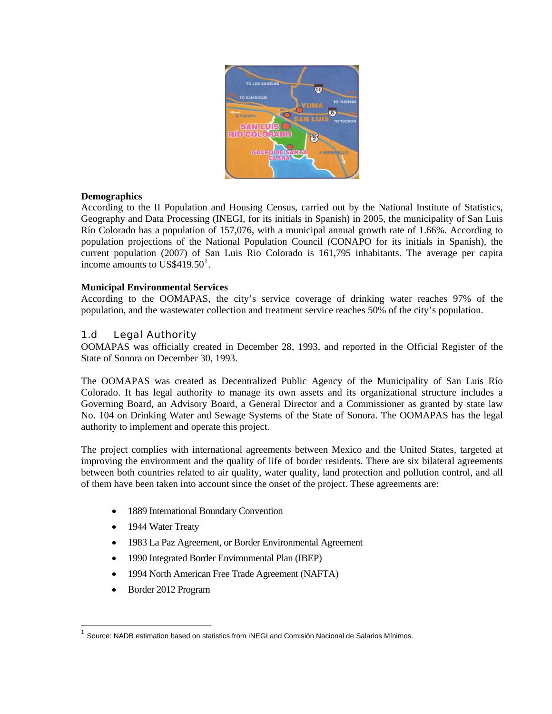

#### **Demographics**

According to the II Population and Housing Census, carried out by the National Institute of Statistics, Geography and Data Processing (INEGI, for its initials in Spanish) in 2005, the municipality of San Luis Río Colorado has a population of 157,076, with a municipal annual growth rate of 1.66%. According to population projections of the National Population Council (CONAPO for its initials in Spanish), the current population (2007) of San Luis Rio Colorado is 161,795 inhabitants. The average per capita income amounts to  $\text{US}\$419.50^1$  $\text{US}\$419.50^1$  $\text{US}\$419.50^1$ .

#### **Municipal Environmental Services**

According to the OOMAPAS, the city's service coverage of drinking water reaches 97% of the population, and the wastewater collection and treatment service reaches 50% of the city's population.

## 1.d Legal Authority

OOMAPAS was officially created in December 28, 1993, and reported in the Official Register of the State of Sonora on December 30, 1993.

The OOMAPAS was created as Decentralized Public Agency of the Municipality of San Luis Río Colorado. It has legal authority to manage its own assets and its organizational structure includes a Governing Board, an Advisory Board, a General Director and a Commissioner as granted by state law No. 104 on Drinking Water and Sewage Systems of the State of Sonora. The OOMAPAS has the legal authority to implement and operate this project.

The project complies with international agreements between Mexico and the United States, targeted at improving the environment and the quality of life of border residents. There are six bilateral agreements between both countries related to air quality, water quality, land protection and pollution control, and all of them have been taken into account since the onset of the project. These agreements are:

• 1889 International Boundary Convention

<sup>2</sup>

- 1944 Water Treaty
- 1983 La Paz Agreement, or Border Environmental Agreement
- 1990 Integrated Border Environmental Plan (IBEP)
- 1994 North American Free Trade Agreement (NAFTA)
- Border 2012 Program

 $\overline{a}$ 

<span id="page-1-0"></span><sup>1</sup> Source: NADB estimation based on statistics from INEGI and Comisión Nacional de Salarios Mínimos.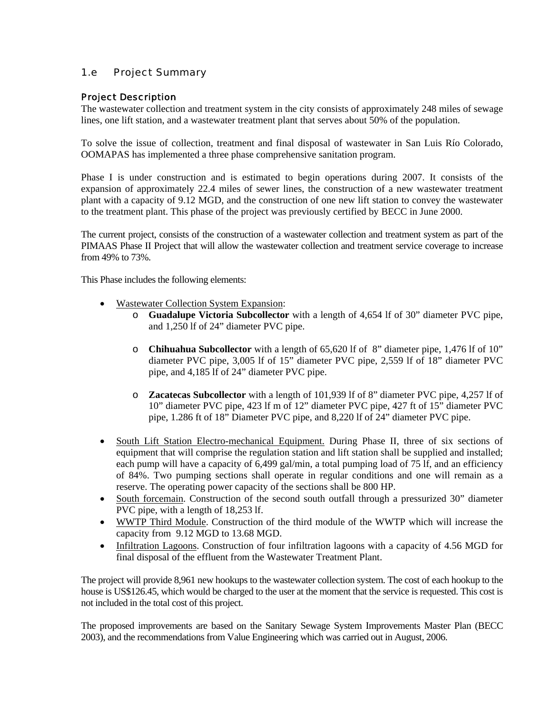## 1.e Project Summary

## Project Description

The wastewater collection and treatment system in the city consists of approximately 248 miles of sewage lines, one lift station, and a wastewater treatment plant that serves about 50% of the population.

To solve the issue of collection, treatment and final disposal of wastewater in San Luis Río Colorado, OOMAPAS has implemented a three phase comprehensive sanitation program.

Phase I is under construction and is estimated to begin operations during 2007. It consists of the expansion of approximately 22.4 miles of sewer lines, the construction of a new wastewater treatment plant with a capacity of 9.12 MGD, and the construction of one new lift station to convey the wastewater to the treatment plant. This phase of the project was previously certified by BECC in June 2000.

The current project, consists of the construction of a wastewater collection and treatment system as part of the PIMAAS Phase II Project that will allow the wastewater collection and treatment service coverage to increase from 49% to 73%.

This Phase includes the following elements:

• Wastewater Collection System Expansion:

<sup>3</sup>

- o **Guadalupe Victoria Subcollector** with a length of 4,654 lf of 30" diameter PVC pipe, and 1,250 lf of 24" diameter PVC pipe.
- o **Chihuahua Subcollector** with a length of 65,620 lf of 8" diameter pipe, 1,476 lf of 10" diameter PVC pipe, 3,005 lf of 15" diameter PVC pipe, 2,559 lf of 18" diameter PVC pipe, and 4,185 lf of 24" diameter PVC pipe.
- o **Zacatecas Subcollector** with a length of 101,939 lf of 8" diameter PVC pipe, 4,257 lf of 10" diameter PVC pipe, 423 lf m of 12" diameter PVC pipe, 427 ft of 15" diameter PVC pipe, 1.286 ft of 18" Diameter PVC pipe, and 8,220 lf of 24" diameter PVC pipe.
- South Lift Station Electro-mechanical Equipment. During Phase II, three of six sections of equipment that will comprise the regulation station and lift station shall be supplied and installed; each pump will have a capacity of 6,499 gal/min, a total pumping load of 75 lf, and an efficiency of 84%. Two pumping sections shall operate in regular conditions and one will remain as a reserve. The operating power capacity of the sections shall be 800 HP.
- South forcemain. Construction of the second south outfall through a pressurized 30" diameter PVC pipe, with a length of 18,253 lf.
- WWTP Third Module. Construction of the third module of the WWTP which will increase the capacity from 9.12 MGD to 13.68 MGD.
- Infiltration Lagoons. Construction of four infiltration lagoons with a capacity of 4.56 MGD for final disposal of the effluent from the Wastewater Treatment Plant.

The project will provide 8,961 new hookups to the wastewater collection system. The cost of each hookup to the house is US\$126.45, which would be charged to the user at the moment that the service is requested. This cost is not included in the total cost of this project.

The proposed improvements are based on the Sanitary Sewage System Improvements Master Plan (BECC 2003), and the recommendations from Value Engineering which was carried out in August, 2006.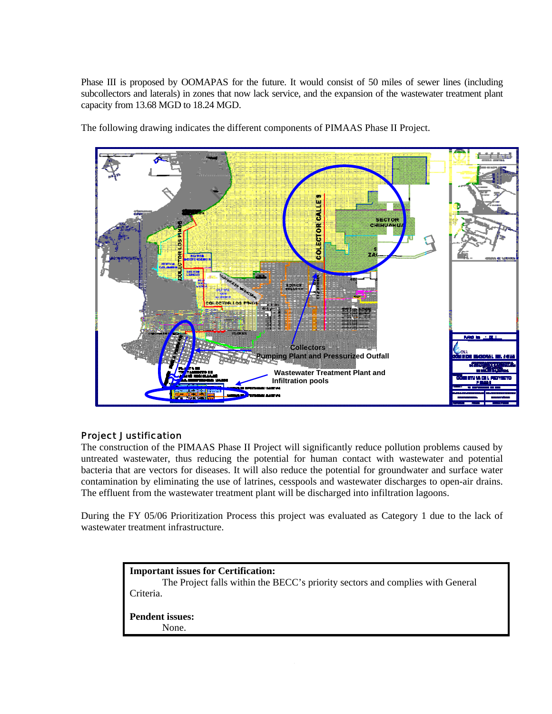Phase III is proposed by OOMAPAS for the future. It would consist of 50 miles of sewer lines (including subcollectors and laterals) in zones that now lack service, and the expansion of the wastewater treatment plant capacity from 13.68 MGD to 18.24 MGD.



The following drawing indicates the different components of PIMAAS Phase II Project.

#### Project Justification

<sup>4</sup>

The construction of the PIMAAS Phase II Project will significantly reduce pollution problems caused by untreated wastewater, thus reducing the potential for human contact with wastewater and potential bacteria that are vectors for diseases. It will also reduce the potential for groundwater and surface water contamination by eliminating the use of latrines, cesspools and wastewater discharges to open-air drains. The effluent from the wastewater treatment plant will be discharged into infiltration lagoons.

During the FY 05/06 Prioritization Process this project was evaluated as Category 1 due to the lack of wastewater treatment infrastructure.

| <b>Important issues for Certification:</b><br>The Project falls within the BECC's priority sectors and complies with General<br>Criteria. |
|-------------------------------------------------------------------------------------------------------------------------------------------|
| <b>Pendent issues:</b><br>None.                                                                                                           |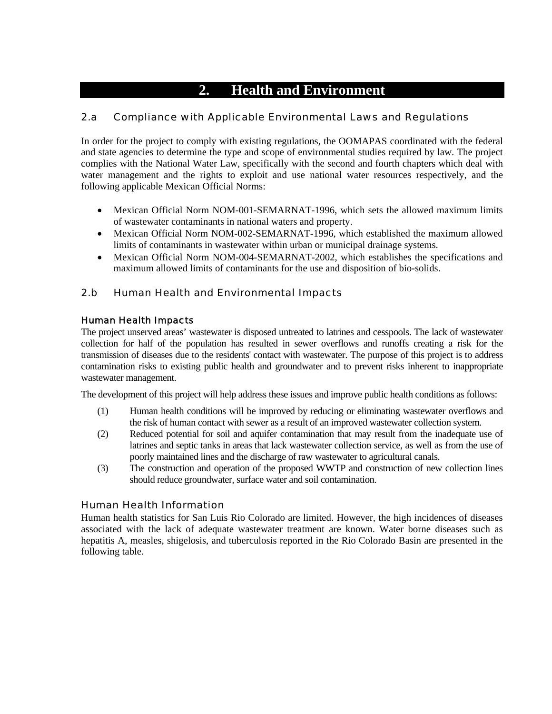# **2. Health and Environment**

## 2.a Compliance with Applicable Environmental Laws and Regulations

In order for the project to comply with existing regulations, the OOMAPAS coordinated with the federal and state agencies to determine the type and scope of environmental studies required by law. The project complies with the National Water Law, specifically with the second and fourth chapters which deal with water management and the rights to exploit and use national water resources respectively, and the following applicable Mexican Official Norms:

- Mexican Official Norm NOM-001-SEMARNAT-1996, which sets the allowed maximum limits of wastewater contaminants in national waters and property.
- Mexican Official Norm NOM-002-SEMARNAT-1996, which established the maximum allowed limits of contaminants in wastewater within urban or municipal drainage systems.
- Mexican Official Norm NOM-004-SEMARNAT-2002, which establishes the specifications and maximum allowed limits of contaminants for the use and disposition of bio-solids.

## 2.b Human Health and Environmental Impacts

## Human Health Impacts

The project unserved areas' wastewater is disposed untreated to latrines and cesspools. The lack of wastewater collection for half of the population has resulted in sewer overflows and runoffs creating a risk for the transmission of diseases due to the residents' contact with wastewater. The purpose of this project is to address contamination risks to existing public health and groundwater and to prevent risks inherent to inappropriate wastewater management.

The development of this project will help address these issues and improve public health conditions as follows:

- (1) Human health conditions will be improved by reducing or eliminating wastewater overflows and the risk of human contact with sewer as a result of an improved wastewater collection system.
- (2) Reduced potential for soil and aquifer contamination that may result from the inadequate use of latrines and septic tanks in areas that lack wastewater collection service, as well as from the use of poorly maintained lines and the discharge of raw wastewater to agricultural canals.
- (3) The construction and operation of the proposed WWTP and construction of new collection lines should reduce groundwater, surface water and soil contamination.

## Human Health Information

<sup>5</sup>

Human health statistics for San Luis Rio Colorado are limited. However, the high incidences of diseases associated with the lack of adequate wastewater treatment are known. Water borne diseases such as hepatitis A, measles, shigelosis, and tuberculosis reported in the Rio Colorado Basin are presented in the following table.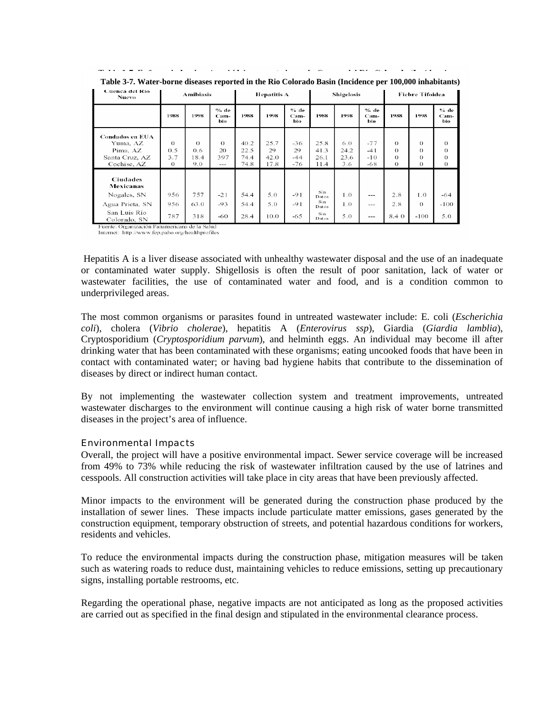| Cuenca del Rio<br><b>Nuevo</b>                                                                 | <b>Amibiasis</b>                   |                                | <b>Hepatitis A</b>             |                              |                            | <b>Shigelosis</b>             |                                              |                            | <b>Fiebre Tifoidea</b>           |                                              |                                              |                                              |
|------------------------------------------------------------------------------------------------|------------------------------------|--------------------------------|--------------------------------|------------------------------|----------------------------|-------------------------------|----------------------------------------------|----------------------------|----------------------------------|----------------------------------------------|----------------------------------------------|----------------------------------------------|
|                                                                                                | 1988                               | 1998                           | % de<br>Cam-<br>bio.           | 1988                         | 1998                       | $%$ de<br>Cam-<br>bio         | 1988                                         | 1998                       | % de<br>Cam-<br>bio.             | 1988                                         | 1998                                         | $%$ de<br>Cam-<br>bio                        |
| Condados en EUA<br>Yuma, AZ<br>Pima, AZ<br>Santa Cruz, AZ<br>Cochise, AZ                       | $\Omega$<br>0.5<br>3.7<br>$\Omega$ | $\Omega$<br>0.6<br>18.4<br>9.0 | $\Omega$<br>20<br>397<br>$---$ | 40.2<br>22.5<br>74.4<br>74.8 | 25.7<br>29<br>42.0<br>17.8 | $-36$<br>29<br>$-44$<br>$-76$ | 25.8<br>41.3<br>26.1<br>11.4                 | 6.0<br>24.2<br>23.6<br>3.6 | $-77$<br>$-41$<br>$-10$<br>$-68$ | $\Omega$<br>$\Omega$<br>$\Omega$<br>$\Omega$ | $\Omega$<br>$\Omega$<br>$\Omega$<br>$\Omega$ | $\Omega$<br>$\theta$<br>$\Omega$<br>$\Omega$ |
| <b>Ciudades</b><br>Mexicanas<br>Nogales, SN<br>Agua Prieta, SN<br>San Luis Río<br>Colorado, SN | 956<br>956<br>787                  | 757<br>63.0<br>318             | $-21$<br>$-93$<br>-60          | 54.4<br>54.4<br>28.4         | 5.0<br>5.0<br>10.0         | $-91$<br>$-91$<br>$-65$       | Sin<br>Datos<br>Sin<br>Datos<br>Sin<br>Datos | 1.0<br>1.0<br>5.0          | ---<br>---<br>---                | 2.8<br>2.8<br>8.4 0                          | 1.0<br>$\Omega$<br>$-100$                    | $-64$<br>$-100$<br>5.0                       |

**Table 3-7. Water-borne diseases reported in the Rio Colorado Basin (Incidence per 100,000 inhabitants)** 

Fuente: Organización Panamericana de la Salud Internet: http://www.fep.paho.org/healthprofiles

 Hepatitis A is a liver disease associated with unhealthy wastewater disposal and the use of an inadequate or contaminated water supply. Shigellosis is often the result of poor sanitation, lack of water or wastewater facilities, the use of contaminated water and food, and is a condition common to underprivileged areas.

The most common organisms or parasites found in untreated wastewater include: E. coli (*Escherichia coli*), cholera (*Vibrio cholerae*), hepatitis A (*Enterovirus ssp*), Giardia (*Giardia lamblia*), Cryptosporidium (*Cryptosporidium parvum*), and helminth eggs. An individual may become ill after drinking water that has been contaminated with these organisms; eating uncooked foods that have been in contact with contaminated water; or having bad hygiene habits that contribute to the dissemination of diseases by direct or indirect human contact.

By not implementing the wastewater collection system and treatment improvements, untreated wastewater discharges to the environment will continue causing a high risk of water borne transmitted diseases in the project's area of influence.

#### Environmental Impacts

e de la construcción de la construcción de la construcción de la construcción de la construcción de la constru<br>A la construcción de la construcción de la construcción de la construcción de la construcción de la construcci

Overall, the project will have a positive environmental impact. Sewer service coverage will be increased from 49% to 73% while reducing the risk of wastewater infiltration caused by the use of latrines and cesspools. All construction activities will take place in city areas that have been previously affected.

Minor impacts to the environment will be generated during the construction phase produced by the installation of sewer lines. These impacts include particulate matter emissions, gases generated by the construction equipment, temporary obstruction of streets, and potential hazardous conditions for workers, residents and vehicles.

To reduce the environmental impacts during the construction phase, mitigation measures will be taken such as watering roads to reduce dust, maintaining vehicles to reduce emissions, setting up precautionary signs, installing portable restrooms, etc.

Regarding the operational phase, negative impacts are not anticipated as long as the proposed activities are carried out as specified in the final design and stipulated in the environmental clearance process.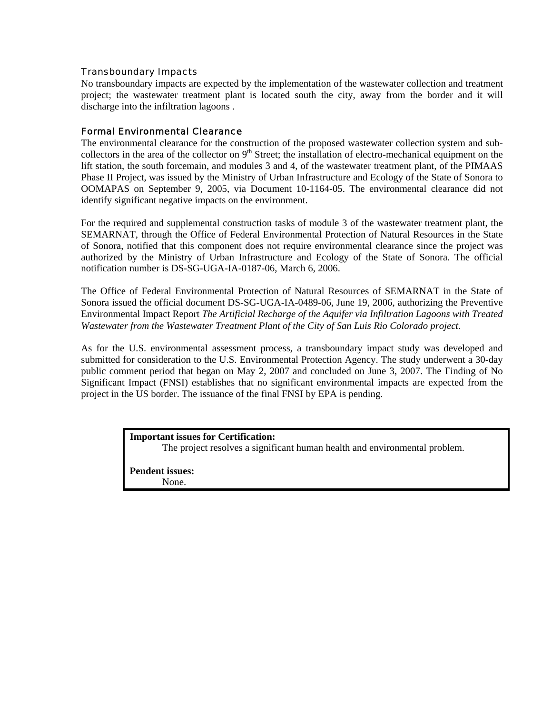#### Transboundary Impacts

No transboundary impacts are expected by the implementation of the wastewater collection and treatment project; the wastewater treatment plant is located south the city, away from the border and it will discharge into the infiltration lagoons .

#### Formal Environmental Clearance

The environmental clearance for the construction of the proposed wastewater collection system and subcollectors in the area of the collector on  $9<sup>th</sup>$  Street; the installation of electro-mechanical equipment on the lift station, the south forcemain, and modules 3 and 4, of the wastewater treatment plant, of the PIMAAS Phase II Project, was issued by the Ministry of Urban Infrastructure and Ecology of the State of Sonora to OOMAPAS on September 9, 2005, via Document 10-1164-05. The environmental clearance did not identify significant negative impacts on the environment.

For the required and supplemental construction tasks of module 3 of the wastewater treatment plant, the SEMARNAT, through the Office of Federal Environmental Protection of Natural Resources in the State of Sonora, notified that this component does not require environmental clearance since the project was authorized by the Ministry of Urban Infrastructure and Ecology of the State of Sonora. The official notification number is DS-SG-UGA-IA-0187-06, March 6, 2006.

The Office of Federal Environmental Protection of Natural Resources of SEMARNAT in the State of Sonora issued the official document DS-SG-UGA-IA-0489-06, June 19, 2006, authorizing the Preventive Environmental Impact Report *The Artificial Recharge of the Aquifer via Infiltration Lagoons with Treated Wastewater from the Wastewater Treatment Plant of the City of San Luis Rio Colorado project.*

As for the U.S. environmental assessment process, a transboundary impact study was developed and submitted for consideration to the U.S. Environmental Protection Agency. The study underwent a 30-day public comment period that began on May 2, 2007 and concluded on June 3, 2007. The Finding of No Significant Impact (FNSI) establishes that no significant environmental impacts are expected from the project in the US border. The issuance of the final FNSI by EPA is pending.

#### **Important issues for Certification:**

The project resolves a significant human health and environmental problem.

**Pendent issues:** 

None.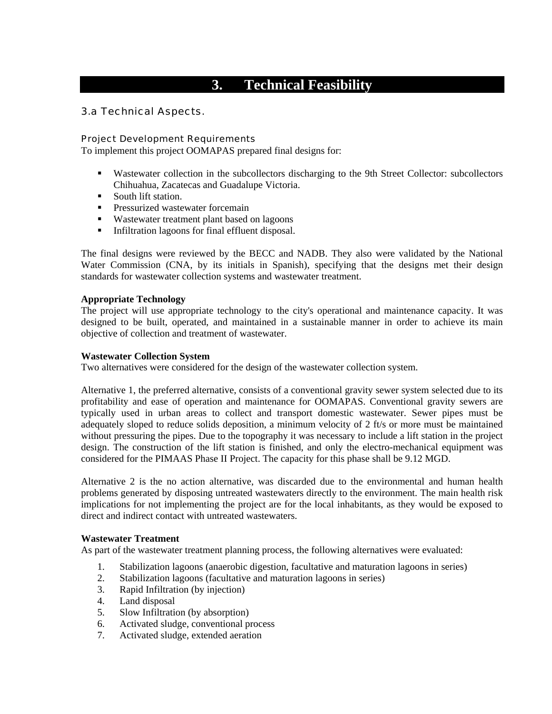# **3. Technical Feasibility**

## 3.a Technical Aspects.

#### Project Development Requirements

To implement this project OOMAPAS prepared final designs for:

- Wastewater collection in the subcollectors discharging to the 9th Street Collector: subcollectors Chihuahua, Zacatecas and Guadalupe Victoria.
- South lift station.
- **Pressurized wastewater forcemain**
- Wastewater treatment plant based on lagoons
- Infiltration lagoons for final effluent disposal.

The final designs were reviewed by the BECC and NADB. They also were validated by the National Water Commission (CNA, by its initials in Spanish), specifying that the designs met their design standards for wastewater collection systems and wastewater treatment.

#### **Appropriate Technology**

The project will use appropriate technology to the city's operational and maintenance capacity. It was designed to be built, operated, and maintained in a sustainable manner in order to achieve its main objective of collection and treatment of wastewater.

#### **Wastewater Collection System**

Two alternatives were considered for the design of the wastewater collection system.

Alternative 1, the preferred alternative, consists of a conventional gravity sewer system selected due to its profitability and ease of operation and maintenance for OOMAPAS. Conventional gravity sewers are typically used in urban areas to collect and transport domestic wastewater. Sewer pipes must be adequately sloped to reduce solids deposition, a minimum velocity of 2 ft/s or more must be maintained without pressuring the pipes. Due to the topography it was necessary to include a lift station in the project design. The construction of the lift station is finished, and only the electro-mechanical equipment was considered for the PIMAAS Phase II Project. The capacity for this phase shall be 9.12 MGD.

Alternative 2 is the no action alternative, was discarded due to the environmental and human health problems generated by disposing untreated wastewaters directly to the environment. The main health risk implications for not implementing the project are for the local inhabitants, as they would be exposed to direct and indirect contact with untreated wastewaters.

#### **Wastewater Treatment**

As part of the wastewater treatment planning process, the following alternatives were evaluated:

- 1. Stabilization lagoons (anaerobic digestion, facultative and maturation lagoons in series)
- 2. Stabilization lagoons (facultative and maturation lagoons in series)
- 3. Rapid Infiltration (by injection)
- 4. Land disposal
- 5. Slow Infiltration (by absorption)
- 6. Activated sludge, conventional process

and the state of the state of the state of the state of the state of the state of the state of the state of th<br>State of the state of the state of the state of the state of the state of the state of the state of the state

7. Activated sludge, extended aeration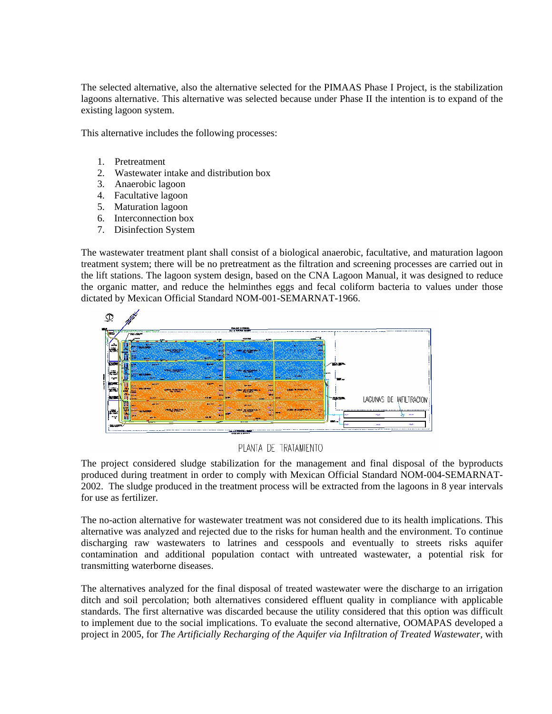The selected alternative, also the alternative selected for the PIMAAS Phase I Project, is the stabilization lagoons alternative. This alternative was selected because under Phase II the intention is to expand of the existing lagoon system.

This alternative includes the following processes:

- 1. Pretreatment
- 2. Wastewater intake and distribution box

e de la construcción de la construcción de la construcción de la construcción de la construcción de la constru<br>En la construcción de la construcción de la construcción de la construcción de la construcción de la construcc

- 3. Anaerobic lagoon
- 4. Facultative lagoon
- 5. Maturation lagoon
- 6. Interconnection box
- 7. Disinfection System

The wastewater treatment plant shall consist of a biological anaerobic, facultative, and maturation lagoon treatment system; there will be no pretreatment as the filtration and screening processes are carried out in the lift stations. The lagoon system design, based on the CNA Lagoon Manual, it was designed to reduce the organic matter, and reduce the helminthes eggs and fecal coliform bacteria to values under those dictated by Mexican Official Standard NOM-001-SEMARNAT-1966.



#### PLANTA DE TRATAMIENTO

The project considered sludge stabilization for the management and final disposal of the byproducts produced during treatment in order to comply with Mexican Official Standard NOM-004-SEMARNAT-2002. The sludge produced in the treatment process will be extracted from the lagoons in 8 year intervals for use as fertilizer.

The no-action alternative for wastewater treatment was not considered due to its health implications. This alternative was analyzed and rejected due to the risks for human health and the environment. To continue discharging raw wastewaters to latrines and cesspools and eventually to streets risks aquifer contamination and additional population contact with untreated wastewater, a potential risk for transmitting waterborne diseases.

The alternatives analyzed for the final disposal of treated wastewater were the discharge to an irrigation ditch and soil percolation; both alternatives considered effluent quality in compliance with applicable standards. The first alternative was discarded because the utility considered that this option was difficult to implement due to the social implications. To evaluate the second alternative, OOMAPAS developed a project in 2005, for *The Artificially Recharging of the Aquifer via Infiltration of Treated Wastewater,* with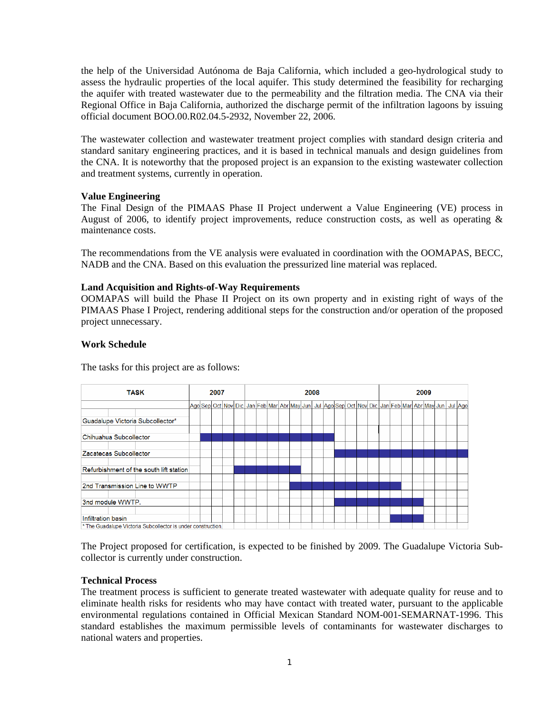the help of the Universidad Autónoma de Baja California, which included a geo-hydrological study to assess the hydraulic properties of the local aquifer. This study determined the feasibility for recharging the aquifer with treated wastewater due to the permeability and the filtration media. The CNA via their Regional Office in Baja California, authorized the discharge permit of the infiltration lagoons by issuing official document BOO.00.R02.04.5-2932, November 22, 2006.

The wastewater collection and wastewater treatment project complies with standard design criteria and standard sanitary engineering practices, and it is based in technical manuals and design guidelines from the CNA. It is noteworthy that the proposed project is an expansion to the existing wastewater collection and treatment systems, currently in operation.

#### **Value Engineering**

The Final Design of the PIMAAS Phase II Project underwent a Value Engineering (VE) process in August of 2006, to identify project improvements, reduce construction costs, as well as operating & maintenance costs.

The recommendations from the VE analysis were evaluated in coordination with the OOMAPAS, BECC, NADB and the CNA. Based on this evaluation the pressurized line material was replaced.

#### **Land Acquisition and Rights-of-Way Requirements**

OOMAPAS will build the Phase II Project on its own property and in existing right of ways of the PIMAAS Phase I Project, rendering additional steps for the construction and/or operation of the proposed project unnecessary.

#### **Work Schedule**

The tasks for this project are as follows:



The Project proposed for certification, is expected to be finished by 2009. The Guadalupe Victoria Subcollector is currently under construction.

#### **Technical Process**

The treatment process is sufficient to generate treated wastewater with adequate quality for reuse and to eliminate health risks for residents who may have contact with treated water, pursuant to the applicable environmental regulations contained in Official Mexican Standard NOM-001-SEMARNAT-1996. This standard establishes the maximum permissible levels of contaminants for wastewater discharges to national waters and properties.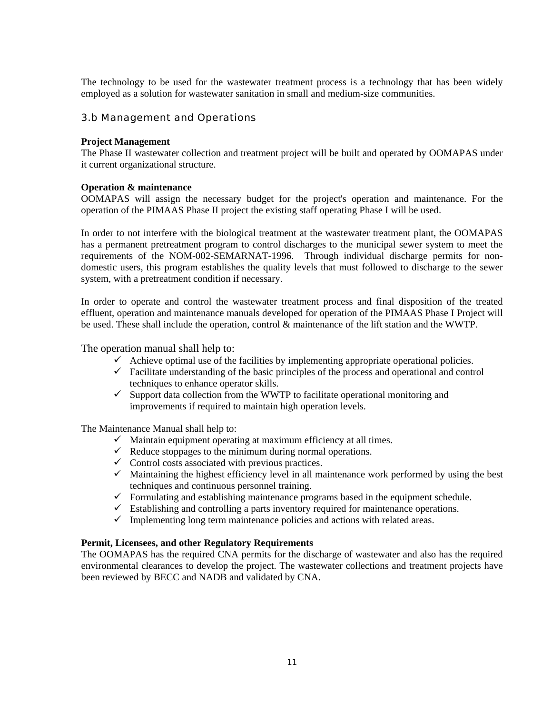The technology to be used for the wastewater treatment process is a technology that has been widely employed as a solution for wastewater sanitation in small and medium-size communities.

#### 3.b Management and Operations

#### **Project Management**

The Phase II wastewater collection and treatment project will be built and operated by OOMAPAS under it current organizational structure.

#### **Operation & maintenance**

OOMAPAS will assign the necessary budget for the project's operation and maintenance. For the operation of the PIMAAS Phase II project the existing staff operating Phase I will be used.

In order to not interfere with the biological treatment at the wastewater treatment plant, the OOMAPAS has a permanent pretreatment program to control discharges to the municipal sewer system to meet the requirements of the NOM-002-SEMARNAT-1996. Through individual discharge permits for nondomestic users, this program establishes the quality levels that must followed to discharge to the sewer system, with a pretreatment condition if necessary.

In order to operate and control the wastewater treatment process and final disposition of the treated effluent, operation and maintenance manuals developed for operation of the PIMAAS Phase I Project will be used. These shall include the operation, control & maintenance of the lift station and the WWTP.

The operation manual shall help to:

- $\checkmark$  Achieve optimal use of the facilities by implementing appropriate operational policies.
- $\checkmark$  Facilitate understanding of the basic principles of the process and operational and control techniques to enhance operator skills.
- $\checkmark$  Support data collection from the WWTP to facilitate operational monitoring and improvements if required to maintain high operation levels.

The Maintenance Manual shall help to:

- $\checkmark$  Maintain equipment operating at maximum efficiency at all times.
- $\checkmark$  Reduce stoppages to the minimum during normal operations.
- $\checkmark$  Control costs associated with previous practices.
- $\checkmark$  Maintaining the highest efficiency level in all maintenance work performed by using the best techniques and continuous personnel training.
- $\checkmark$  Formulating and establishing maintenance programs based in the equipment schedule.
- $\checkmark$  Establishing and controlling a parts inventory required for maintenance operations.
- $\checkmark$  Implementing long term maintenance policies and actions with related areas.

#### **Permit, Licensees, and other Regulatory Requirements**

The OOMAPAS has the required CNA permits for the discharge of wastewater and also has the required environmental clearances to develop the project. The wastewater collections and treatment projects have been reviewed by BECC and NADB and validated by CNA.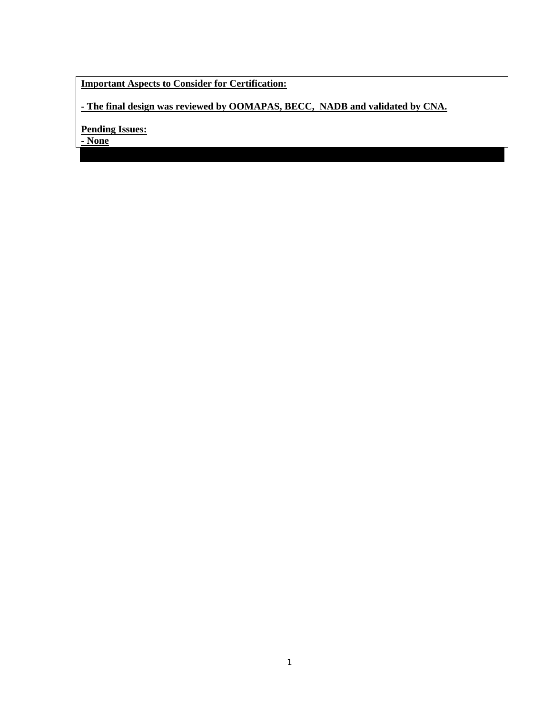## **Important Aspects to Consider for Certification:**

**- The final design was reviewed by OOMAPAS, BECC, NADB and validated by CNA.** 

**Pending Issues:**

**- None**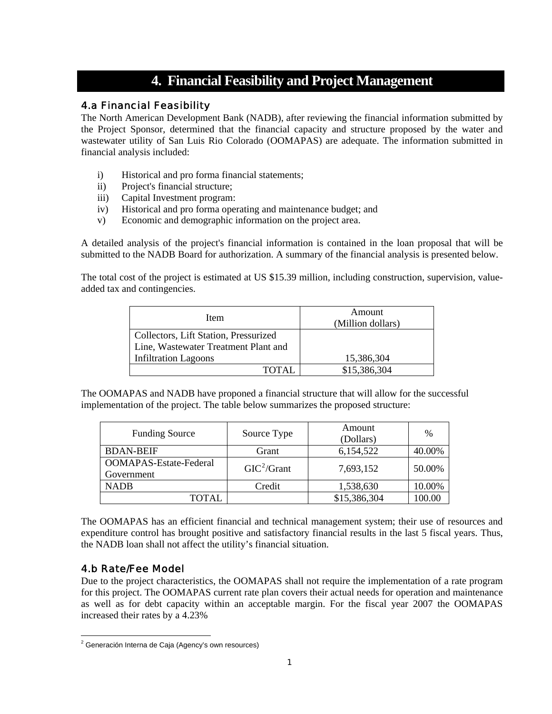## **4. Financial Feasibility and Project Management**

## 4.a Financial Feasibility

The North American Development Bank (NADB), after reviewing the financial information submitted by the Project Sponsor, determined that the financial capacity and structure proposed by the water and wastewater utility of San Luis Rio Colorado (OOMAPAS) are adequate. The information submitted in financial analysis included:

- i) Historical and pro forma financial statements;
- ii) Project's financial structure;
- iii) Capital Investment program:
- iv) Historical and pro forma operating and maintenance budget; and
- v) Economic and demographic information on the project area.

A detailed analysis of the project's financial information is contained in the loan proposal that will be submitted to the NADB Board for authorization. A summary of the financial analysis is presented below.

The total cost of the project is estimated at US \$15.39 million, including construction, supervision, valueadded tax and contingencies.

| Item                                  | Amount<br>(Million dollars) |
|---------------------------------------|-----------------------------|
| Collectors, Lift Station, Pressurized |                             |
| Line, Wastewater Treatment Plant and  |                             |
| <b>Infiltration Lagoons</b>           | 15,386,304                  |
| <b>TOTAL</b>                          | \$15,386,304                |

The OOMAPAS and NADB have proponed a financial structure that will allow for the successful implementation of the project. The table below summarizes the proposed structure:

| <b>Funding Source</b>                       | Source Type   | Amount<br>(Dollars) | $\%$   |
|---------------------------------------------|---------------|---------------------|--------|
| <b>BDAN-BEIF</b>                            | Grant         | 6,154,522           | 40.00% |
| <b>OOMAPAS-Estate-Federal</b><br>Government | $GIC^2/Grant$ | 7,693,152           | 50.00% |
| <b>NADB</b>                                 | Credit        | 1,538,630           | 10.00% |
| `OTAI                                       |               | \$15,386,304        |        |

The OOMAPAS has an efficient financial and technical management system; their use of resources and expenditure control has brought positive and satisfactory financial results in the last 5 fiscal years. Thus, the NADB loan shall not affect the utility's financial situation.

## 4.b Rate/Fee Model

Due to the project characteristics, the OOMAPAS shall not require the implementation of a rate program for this project. The OOMAPAS current rate plan covers their actual needs for operation and maintenance as well as for debt capacity within an acceptable margin. For the fiscal year 2007 the OOMAPAS increased their rates by a 4.23%

<span id="page-12-0"></span><sup>&</sup>lt;u>a</u><br><sup>2</sup> Generación Interna de Caja (Agency's own resources)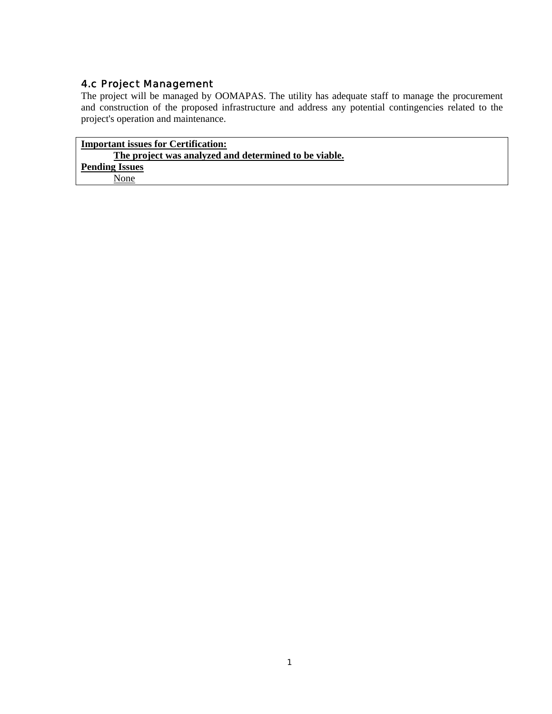## 4.c Project Management

The project will be managed by OOMAPAS. The utility has adequate staff to manage the procurement and construction of the proposed infrastructure and address any potential contingencies related to the project's operation and maintenance.

**Important issues for Certification: The project was analyzed and determined to be viable. Pending Issues** None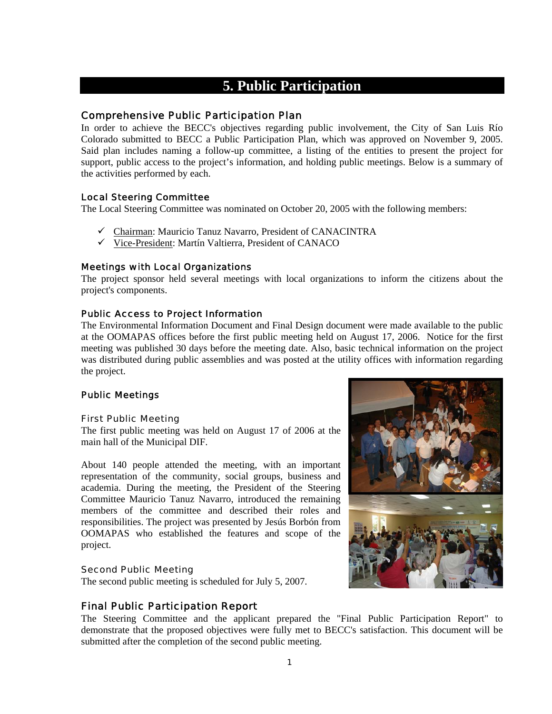## **5. Public Participation**

#### Comprehensive Public Participation Plan

In order to achieve the BECC's objectives regarding public involvement, the City of San Luis Río Colorado submitted to BECC a Public Participation Plan, which was approved on November 9, 2005. Said plan includes naming a follow-up committee, a listing of the entities to present the project for support, public access to the project's information, and holding public meetings. Below is a summary of the activities performed by each.

#### Local Steering Committee

The Local Steering Committee was nominated on October 20, 2005 with the following members:

- $\checkmark$  Chairman: Mauricio Tanuz Navarro, President of CANACINTRA
- $\checkmark$  Vice-President: Martín Valtierra, President of CANACO

#### Meetings with Local Organizations

The project sponsor held several meetings with local organizations to inform the citizens about the project's components.

#### Public Access to Project Information

The Environmental Information Document and Final Design document were made available to the public at the OOMAPAS offices before the first public meeting held on August 17, 2006. Notice for the first meeting was published 30 days before the meeting date. Also, basic technical information on the project was distributed during public assemblies and was posted at the utility offices with information regarding the project.

#### Public Meetings

#### First Public Meeting

The first public meeting was held on August 17 of 2006 at the main hall of the Municipal DIF.

About 140 people attended the meeting, with an important representation of the community, social groups, business and academia. During the meeting, the President of the Steering Committee Mauricio Tanuz Navarro, introduced the remaining members of the committee and described their roles and responsibilities. The project was presented by Jesús Borbón from OOMAPAS who established the features and scope of the project.

#### Second Public Meeting

The second public meeting is scheduled for July 5, 2007.

## Final Public Participation Report

The Steering Committee and the applicant prepared the "Final Public Participation Report" to demonstrate that the proposed objectives were fully met to BECC's satisfaction. This document will be submitted after the completion of the second public meeting.

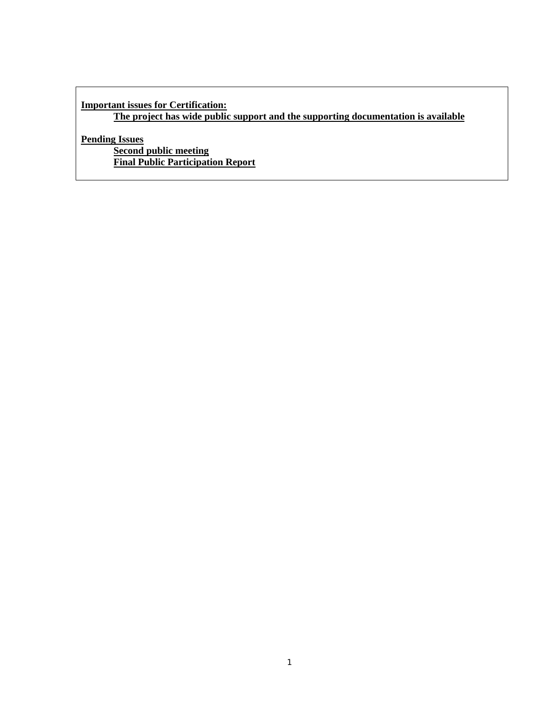## **Important issues for Certification:**

**The project has wide public support and the supporting documentation is available**

**Pending Issues**

**Second public meeting Final Public Participation Report**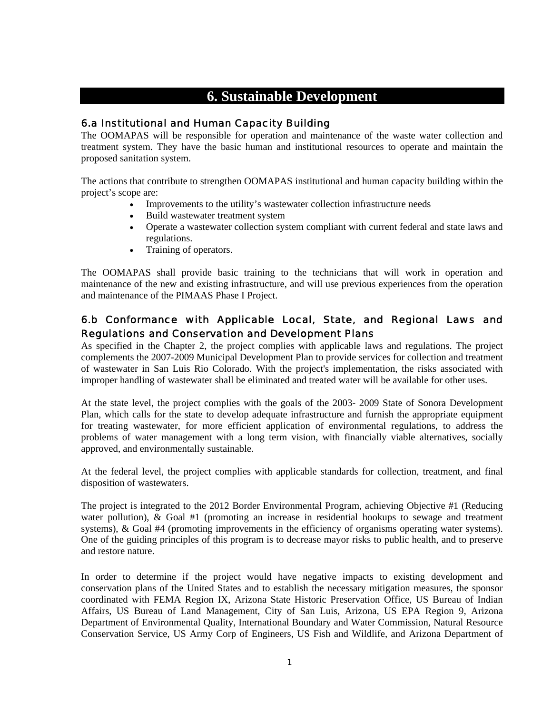## **6. Sustainable Development**

## 6.a Institutional and Human Capacity Building

The OOMAPAS will be responsible for operation and maintenance of the waste water collection and treatment system. They have the basic human and institutional resources to operate and maintain the proposed sanitation system.

The actions that contribute to strengthen OOMAPAS institutional and human capacity building within the project's scope are:

- Improvements to the utility's wastewater collection infrastructure needs
- Build wastewater treatment system
- Operate a wastewater collection system compliant with current federal and state laws and regulations.
- Training of operators.

The OOMAPAS shall provide basic training to the technicians that will work in operation and maintenance of the new and existing infrastructure, and will use previous experiences from the operation and maintenance of the PIMAAS Phase I Project.

## 6.b Conformance with Applicable Local, State, and Regional Laws and Regulations and Conservation and Development Plans

As specified in the Chapter 2, the project complies with applicable laws and regulations. The project complements the 2007-2009 Municipal Development Plan to provide services for collection and treatment of wastewater in San Luis Rio Colorado. With the project's implementation, the risks associated with improper handling of wastewater shall be eliminated and treated water will be available for other uses.

At the state level, the project complies with the goals of the 2003- 2009 State of Sonora Development Plan, which calls for the state to develop adequate infrastructure and furnish the appropriate equipment for treating wastewater, for more efficient application of environmental regulations, to address the problems of water management with a long term vision, with financially viable alternatives, socially approved, and environmentally sustainable.

At the federal level, the project complies with applicable standards for collection, treatment, and final disposition of wastewaters.

The project is integrated to the 2012 Border Environmental Program, achieving Objective #1 (Reducing water pollution), & Goal #1 (promoting an increase in residential hookups to sewage and treatment systems), & Goal #4 (promoting improvements in the efficiency of organisms operating water systems). One of the guiding principles of this program is to decrease mayor risks to public health, and to preserve and restore nature.

In order to determine if the project would have negative impacts to existing development and conservation plans of the United States and to establish the necessary mitigation measures, the sponsor coordinated with FEMA Region IX, Arizona State Historic Preservation Office, US Bureau of Indian Affairs, US Bureau of Land Management, City of San Luis, Arizona, US EPA Region 9, Arizona Department of Environmental Quality, International Boundary and Water Commission, Natural Resource Conservation Service, US Army Corp of Engineers, US Fish and Wildlife, and Arizona Department of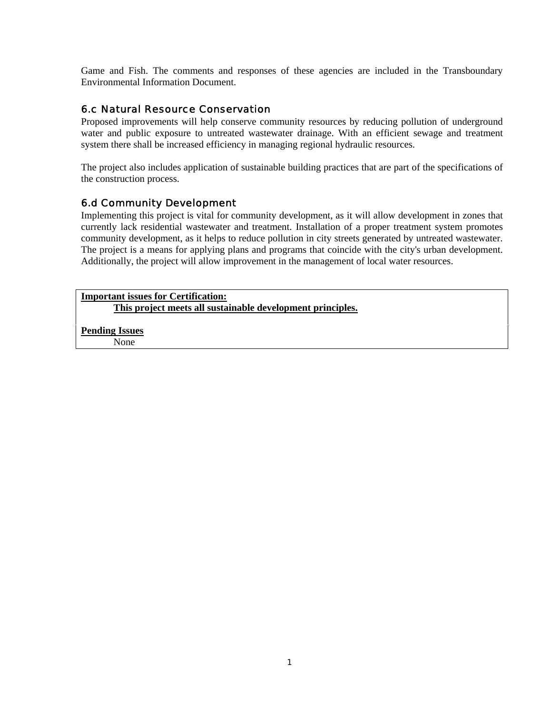Game and Fish. The comments and responses of these agencies are included in the Transboundary Environmental Information Document.

## 6.c Natural Resource Conservation

Proposed improvements will help conserve community resources by reducing pollution of underground water and public exposure to untreated wastewater drainage. With an efficient sewage and treatment system there shall be increased efficiency in managing regional hydraulic resources.

The project also includes application of sustainable building practices that are part of the specifications of the construction process.

## 6.d Community Development

Implementing this project is vital for community development, as it will allow development in zones that currently lack residential wastewater and treatment. Installation of a proper treatment system promotes community development, as it helps to reduce pollution in city streets generated by untreated wastewater. The project is a means for applying plans and programs that coincide with the city's urban development. Additionally, the project will allow improvement in the management of local water resources.

**Important issues for Certification: This project meets all sustainable development principles.**

**Pending Issues** None

 $\mathbf{18}$